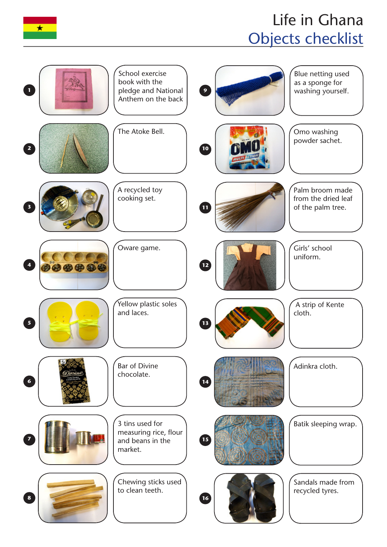

## Life in Ghana Objects checklist

| School exercise<br>book with the<br>$\mathbf{1}$<br>pledge and National<br>Anthem on the back      | Blue netting used<br>as a sponge for<br>$\overline{9}$<br>washing yourself. |
|----------------------------------------------------------------------------------------------------|-----------------------------------------------------------------------------|
| The Atoke Bell.<br>2                                                                               | Omo washing<br>powder sachet.<br>10                                         |
| A recycled toy<br>cooking set.<br>$\overline{\mathbf{3}}$                                          | Palm broom made<br>from the dried leaf<br>$\mathbf{u}$<br>of the palm tree. |
| Oware game.<br>$\blacktriangleleft$<br>000000                                                      | Girls' school<br>uniform.<br>$\mathbf{E}$                                   |
| Yellow plastic soles<br>and laces.<br>$\overline{\mathbf{5}}$                                      | A strip of Kente<br>cloth.<br>$\left( \mathbf{B}\right)$                    |
| <b>Bar of Divine</b><br>chocolate.<br>$\epsilon$                                                   | Adinkra cloth.<br>$\boxed{14}$                                              |
| 3 tins used for<br>measuring rice, flour<br>$\overline{\mathbf{z}}$<br>and beans in the<br>market. | Batik sleeping wrap.<br>15                                                  |
| Chewing sticks used<br>to clean teeth.<br>$\bf{8}$                                                 | Sandals made from<br>recycled tyres.<br>16                                  |